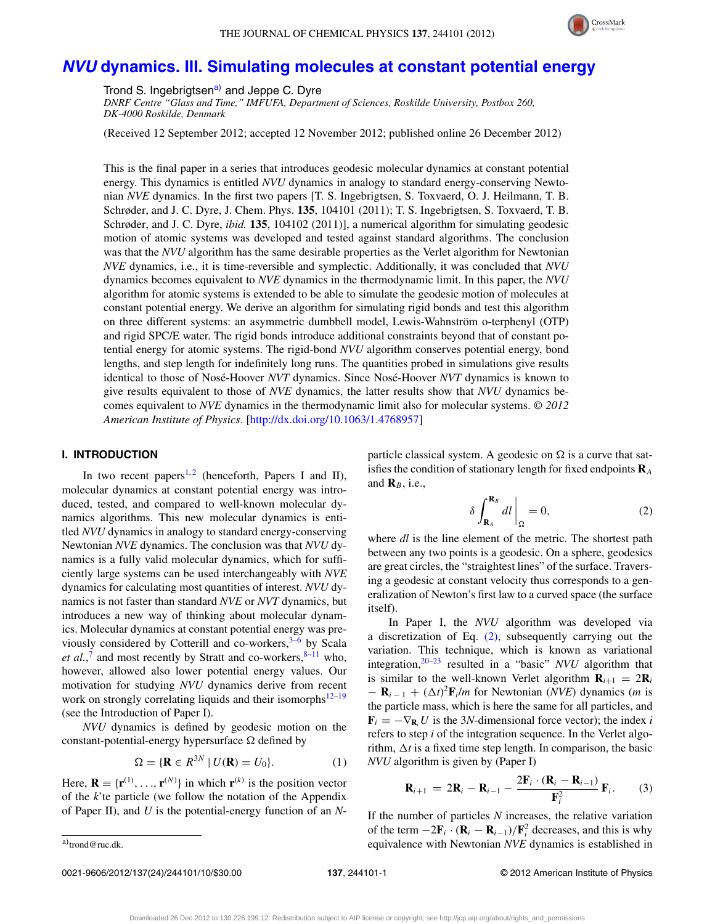

# **NVU [dynamics. III. Simulating molecules at constant potential energy](http://dx.doi.org/10.1063/1.4768957)**

Trond S. Ingebrigtsen<sup>[a\)](#page-0-0)</sup> and Jeppe C. Dyre

*DNRF Centre "Glass and Time," IMFUFA, Department of Sciences, Roskilde University, Postbox 260, DK-4000 Roskilde, Denmark*

(Received 12 September 2012; accepted 12 November 2012; published online 26 December 2012)

This is the final paper in a series that introduces geodesic molecular dynamics at constant potential energy. This dynamics is entitled *NVU* dynamics in analogy to standard energy-conserving Newtonian *NVE* dynamics. In the first two papers [T. S. Ingebrigtsen, S. Toxvaerd, O. J. Heilmann, T. B. Schrøder, and J. C. Dyre, J. Chem. Phys. **135**, 104101 (2011); T. S. Ingebrigtsen, S. Toxvaerd, T. B. Schrøder, and J. C. Dyre, *ibid.* **135**, 104102 (2011)], a numerical algorithm for simulating geodesic motion of atomic systems was developed and tested against standard algorithms. The conclusion was that the *NVU* algorithm has the same desirable properties as the Verlet algorithm for Newtonian *NVE* dynamics, i.e., it is time-reversible and symplectic. Additionally, it was concluded that *NVU* dynamics becomes equivalent to *NVE* dynamics in the thermodynamic limit. In this paper, the *NVU* algorithm for atomic systems is extended to be able to simulate the geodesic motion of molecules at constant potential energy. We derive an algorithm for simulating rigid bonds and test this algorithm on three different systems: an asymmetric dumbbell model, Lewis-Wahnström o-terphenyl (OTP) and rigid SPC/E water. The rigid bonds introduce additional constraints beyond that of constant potential energy for atomic systems. The rigid-bond *NVU* algorithm conserves potential energy, bond lengths, and step length for indefinitely long runs. The quantities probed in simulations give results identical to those of Nosé-Hoover *NVT* dynamics. Since Nosé-Hoover *NVT* dynamics is known to give results equivalent to those of *NVE* dynamics, the latter results show that *NVU* dynamics becomes equivalent to *NVE* dynamics in the thermodynamic limit also for molecular systems. *© 2012 American Institute of Physics*. [\[http://dx.doi.org/10.1063/1.4768957\]](http://dx.doi.org/10.1063/1.4768957)

# **I. INTRODUCTION**

In two recent papers<sup>[1,](#page-8-0)[2](#page-8-1)</sup> (henceforth, Papers I and II), molecular dynamics at constant potential energy was introduced, tested, and compared to well-known molecular dynamics algorithms. This new molecular dynamics is entitled *NVU* dynamics in analogy to standard energy-conserving Newtonian *NVE* dynamics. The conclusion was that *NVU* dynamics is a fully valid molecular dynamics, which for sufficiently large systems can be used interchangeably with *NVE* dynamics for calculating most quantities of interest. *NVU* dynamics is not faster than standard *NVE* or *NVT* dynamics, but introduces a new way of thinking about molecular dynamics. Molecular dynamics at constant potential energy was previously considered by Cotterill and co-workers, $3-6$  $3-6$  by Scala *et al.*,<sup>[7](#page-8-4)</sup> and most recently by Stratt and co-workers, $8-11$  who, however, allowed also lower potential energy values. Our motivation for studying *NVU* dynamics derive from recent work on strongly correlating liquids and their isomorphs<sup>12–[19](#page-8-8)</sup> (see the Introduction of Paper I).

*NVU* dynamics is defined by geodesic motion on the constant-potential-energy hypersurface  $\Omega$  defined by

$$
\Omega = \{ \mathbf{R} \in R^{3N} \mid U(\mathbf{R}) = U_0 \}.
$$
 (1)

Here,  $\mathbf{R} \equiv \{\mathbf{r}^{(1)}, \dots, \mathbf{r}^{(N)}\}$  in which  $\mathbf{r}^{(k)}$  is the position vector of the *k*'te particle (we follow the notation of the Appendix of Paper II), and *U* is the potential-energy function of an *N*-

0021-9606/2012/137(24)/244101/10/\$30.00 © 2012 American Institute of Physics **137**, 244101-1

particle classical system. A geodesic on  $\Omega$  is a curve that satisfies the condition of stationary length for fixed endpoints **R***<sup>A</sup>* and  $\mathbf{R}_B$ , i.e.,

<span id="page-0-1"></span>
$$
\delta \int_{\mathbf{R}_A}^{\mathbf{R}_B} dl \Big|_{\Omega} = 0, \tag{2}
$$

where *dl* is the line element of the metric. The shortest path between any two points is a geodesic. On a sphere, geodesics are great circles, the "straightest lines" of the surface. Traversing a geodesic at constant velocity thus corresponds to a generalization of Newton's first law to a curved space (the surface itself).

In Paper I, the *NVU* algorithm was developed via a discretization of Eq. [\(2\),](#page-0-1) subsequently carrying out the variation. This technique, which is known as variational integration,[20](#page-8-9)[–23](#page-8-10) resulted in a "basic" *NVU* algorithm that is similar to the well-known Verlet algorithm  $\mathbf{R}_{i+1} = 2\mathbf{R}_i$  $-$  **R**<sub>i</sub> − 1 + ( $\Delta t$ )<sup>2</sup>F<sub>i</sub>/*m* for Newtonian (*NVE*) dynamics (*m* is the particle mass, which is here the same for all particles, and  $\mathbf{F}_i \equiv -\nabla_{\mathbf{R}_i} U$  is the 3*N*-dimensional force vector); the index *i* refers to step *i* of the integration sequence. In the Verlet algorithm,  $\Delta t$  is a fixed time step length. In comparison, the basic *NVU* algorithm is given by (Paper I)

$$
\mathbf{R}_{i+1} = 2\mathbf{R}_i - \mathbf{R}_{i-1} - \frac{2\mathbf{F}_i \cdot (\mathbf{R}_i - \mathbf{R}_{i-1})}{\mathbf{F}_i^2} \mathbf{F}_i.
$$
 (3)

<span id="page-0-2"></span>If the number of particles *N* increases, the relative variation of the term  $-2\mathbf{F}_i \cdot (\mathbf{R}_i - \mathbf{R}_{i-1})/\mathbf{F}_i^2$  decreases, and this is why equivalence with Newtonian *NVE* dynamics is established in

<span id="page-0-0"></span> $^{a)}$ trond@ruc.dk.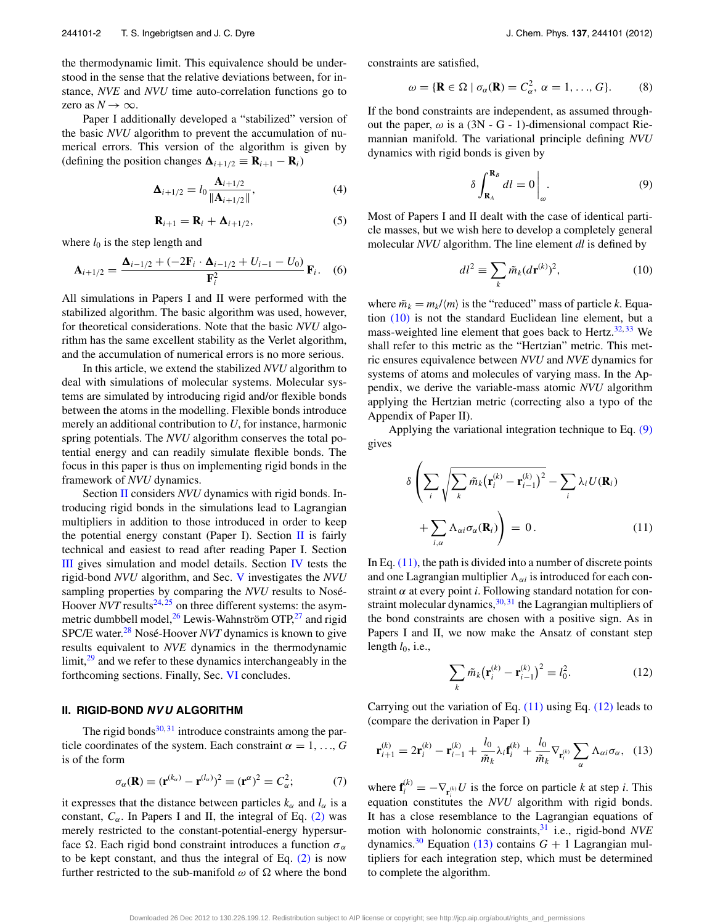the thermodynamic limit. This equivalence should be understood in the sense that the relative deviations between, for instance, *NVE* and *NVU* time auto-correlation functions go to zero as  $N \to \infty$ .

Paper I additionally developed a "stabilized" version of the basic *NVU* algorithm to prevent the accumulation of numerical errors. This version of the algorithm is given by (defining the position changes  $\mathbf{\Delta}_{i+1/2} \equiv \mathbf{R}_{i+1} - \mathbf{R}_i$ )

$$
\mathbf{\Delta}_{i+1/2} = l_0 \frac{\mathbf{A}_{i+1/2}}{\|\mathbf{A}_{i+1/2}\|},\tag{4}
$$

<span id="page-1-7"></span>
$$
\mathbf{R}_{i+1} = \mathbf{R}_i + \mathbf{\Delta}_{i+1/2},\tag{5}
$$

where  $l_0$  is the step length and

$$
\mathbf{A}_{i+1/2} = \frac{\mathbf{\Delta}_{i-1/2} + (-2\mathbf{F}_i \cdot \mathbf{\Delta}_{i-1/2} + U_{i-1} - U_0)}{\mathbf{F}_i^2} \mathbf{F}_i.
$$
 (6)

All simulations in Papers I and II were performed with the stabilized algorithm. The basic algorithm was used, however, for theoretical considerations. Note that the basic *NVU* algorithm has the same excellent stability as the Verlet algorithm, and the accumulation of numerical errors is no more serious.

In this article, we extend the stabilized *NVU* algorithm to deal with simulations of molecular systems. Molecular systems are simulated by introducing rigid and/or flexible bonds between the atoms in the modelling. Flexible bonds introduce merely an additional contribution to *U*, for instance, harmonic spring potentials. The *NVU* algorithm conserves the total potential energy and can readily simulate flexible bonds. The focus in this paper is thus on implementing rigid bonds in the framework of *NVU* dynamics.

Section [II](#page-1-0) considers *NVU* dynamics with rigid bonds. Introducing rigid bonds in the simulations lead to Lagrangian multipliers in addition to those introduced in order to keep the potential energy constant (Paper I). Section  $\Pi$  is fairly technical and easiest to read after reading Paper I. Section [III](#page-4-0) gives simulation and model details. Section [IV](#page-5-0) tests the rigid-bond *NVU* algorithm, and Sec. [V](#page-5-1) investigates the *NVU* sampling properties by comparing the *NVU* results to Nosé-Hoover *NVT* results<sup>[24,](#page-9-0) [25](#page-9-1)</sup> on three different systems: the asymmetric dumbbell model,  $^{26}$  $^{26}$  $^{26}$  Lewis-Wahnström OTP, $^{27}$  and rigid SPC/E water[.28](#page-9-4) Nosé-Hoover *NVT* dynamics is known to give results equivalent to *NVE* dynamics in the thermodynamic  $\lim_{x \to 29}$  $\lim_{x \to 29}$  $\lim_{x \to 29}$  and we refer to these dynamics interchangeably in the forthcoming sections. Finally, Sec. [VI](#page-7-0) concludes.

# <span id="page-1-0"></span>**II. RIGID-BOND NVU ALGORITHM**

The rigid bonds $30,31$  $30,31$  introduce constraints among the particle coordinates of the system. Each constraint  $\alpha = 1, \ldots, G$ is of the form

$$
\sigma_{\alpha}(\mathbf{R}) \equiv (\mathbf{r}^{(k_{\alpha})} - \mathbf{r}^{(l_{\alpha})})^2 \equiv (\mathbf{r}^{\alpha})^2 = C_{\alpha}^2; \tag{7}
$$

it expresses that the distance between particles  $k_{\alpha}$  and  $l_{\alpha}$  is a constant,  $C_\alpha$ . In Papers I and II, the integral of Eq. [\(2\)](#page-0-1) was merely restricted to the constant-potential-energy hypersurface Ω. Each rigid bond constraint introduces a function  $σ_α$ to be kept constant, and thus the integral of Eq.  $(2)$  is now further restricted to the sub-manifold  $\omega$  of  $\Omega$  where the bond constraints are satisfied,

$$
\omega = \{ \mathbf{R} \in \Omega \mid \sigma_{\alpha}(\mathbf{R}) = C_{\alpha}^{2}, \ \alpha = 1, \ldots, G \}. \tag{8}
$$

If the bond constraints are independent, as assumed throughout the paper,  $\omega$  is a (3N - G - 1)-dimensional compact Riemannian manifold. The variational principle defining *NVU* dynamics with rigid bonds is given by

<span id="page-1-2"></span><span id="page-1-1"></span>
$$
\delta \int_{\mathbf{R}_A}^{\mathbf{R}_B} dl = 0 \Big|_{\omega}.
$$
 (9)

<span id="page-1-6"></span>Most of Papers I and II dealt with the case of identical particle masses, but we wish here to develop a completely general molecular *NVU* algorithm. The line element *dl* is defined by

$$
dl^2 \equiv \sum_k \tilde{m}_k (d\mathbf{r}^{(k)})^2, \tag{10}
$$

where  $\tilde{m}_k = m_k / \langle m \rangle$  is the "reduced" mass of particle *k*. Equation [\(10\)](#page-1-1) is not the standard Euclidean line element, but a mass-weighted line element that goes back to Hertz.<sup>[32,](#page-9-8) [33](#page-9-9)</sup> We shall refer to this metric as the "Hertzian" metric. This metric ensures equivalence between *NVU* and *NVE* dynamics for systems of atoms and molecules of varying mass. In the Appendix, we derive the variable-mass atomic *NVU* algorithm applying the Hertzian metric (correcting also a typo of the Appendix of Paper II).

Applying the variational integration technique to Eq. [\(9\)](#page-1-2) gives

<span id="page-1-3"></span>
$$
\delta \left( \sum_{i} \sqrt{\sum_{k} \tilde{m}_{k} (\mathbf{r}_{i}^{(k)} - \mathbf{r}_{i-1}^{(k)})^{2}} - \sum_{i} \lambda_{i} U(\mathbf{R}_{i}) + \sum_{i, \alpha} \Lambda_{\alpha i} \sigma_{\alpha}(\mathbf{R}_{i}) \right) = 0.
$$
\n(11)

In Eq.  $(11)$ , the path is divided into a number of discrete points and one Lagrangian multiplier  $\Lambda_{\alpha i}$  is introduced for each constraint *α* at every point *i*. Following standard notation for constraint molecular dynamics,  $30, 31$  $30, 31$  the Lagrangian multipliers of the bond constraints are chosen with a positive sign. As in Papers I and II, we now make the Ansatz of constant step length  $l_0$ , i.e.,

<span id="page-1-5"></span><span id="page-1-4"></span>
$$
\sum_{k} \tilde{m}_{k} (\mathbf{r}_{i}^{(k)} - \mathbf{r}_{i-1}^{(k)})^{2} \equiv l_{0}^{2}.
$$
 (12)

Carrying out the variation of Eq. [\(11\)](#page-1-3) using Eq. [\(12\)](#page-1-4) leads to (compare the derivation in Paper I)

$$
\mathbf{r}_{i+1}^{(k)} = 2\mathbf{r}_i^{(k)} - \mathbf{r}_{i-1}^{(k)} + \frac{l_0}{\tilde{m}_k} \lambda_i \mathbf{f}_i^{(k)} + \frac{l_0}{\tilde{m}_k} \nabla_{\mathbf{r}_i^{(k)}} \sum_{\alpha} \Lambda_{\alpha i} \sigma_{\alpha}, \quad (13)
$$

where  $\mathbf{f}_i^{(k)} = -\nabla_{\mathbf{r}_i^{(k)}} U$  is the force on particle *k* at step *i*. This equation constitutes the *NVU* algorithm with rigid bonds. It has a close resemblance to the Lagrangian equations of motion with holonomic constraints,<sup>[31](#page-9-7)</sup> i.e., rigid-bond *NVE* dynamics.<sup>30</sup> Equation [\(13\)](#page-1-5) contains  $G + 1$  Lagrangian multipliers for each integration step, which must be determined to complete the algorithm.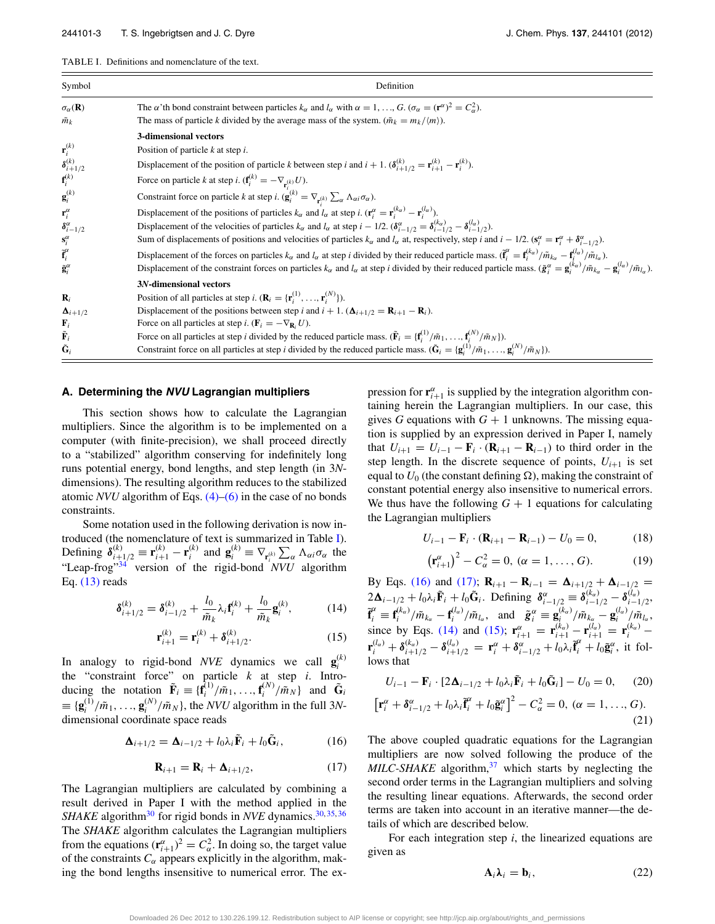<span id="page-2-0"></span>TABLE I. Definitions and nomenclature of the text.

| Symbol                            | Definition                                                                                                                                                                                                                                                                              |  |  |  |
|-----------------------------------|-----------------------------------------------------------------------------------------------------------------------------------------------------------------------------------------------------------------------------------------------------------------------------------------|--|--|--|
| $\sigma_{\alpha}(\mathbf{R})$     | The $\alpha$ 'th bond constraint between particles $k_{\alpha}$ and $l_{\alpha}$ with $\alpha = 1, , G$ . $(\sigma_{\alpha} = (\mathbf{r}^{\alpha})^2 = C_{\alpha}^2)$ .                                                                                                                |  |  |  |
| $\tilde{m}_k$                     | The mass of particle k divided by the average mass of the system. $(\tilde{m}_k = m_k / \langle m \rangle)$ .                                                                                                                                                                           |  |  |  |
|                                   | 3-dimensional vectors                                                                                                                                                                                                                                                                   |  |  |  |
| $\mathbf{r}_i^{(k)}$              | Position of particle $k$ at step $i$ .                                                                                                                                                                                                                                                  |  |  |  |
| $\delta_{i+1/2}^{(k)}$            | Displacement of the position of particle k between step i and $i + 1$ . $(\delta_{i+1/2}^{(k)} = \mathbf{r}_{i+1}^{(k)} - \mathbf{r}_i^{(k)})$ .                                                                                                                                        |  |  |  |
| $\mathbf{f}_i^{(k)}$              | Force on particle k at step i. $(f_i^{(k)} = -\nabla_{\mathbf{r}_i^{(k)}} U)$ .                                                                                                                                                                                                         |  |  |  |
| $\mathbf{g}_i^{(k)}$              | Constraint force on particle k at step i. $(\mathbf{g}_i^{(k)} = \nabla_{\mathbf{r}_i^{(k)}} \sum_{\alpha} \Lambda_{\alpha i} \sigma_{\alpha})$ .                                                                                                                                       |  |  |  |
| $\mathbf{r}_i^{\alpha}$           | Displacement of the positions of particles $k_{\alpha}$ and $l_{\alpha}$ at step i. $(\mathbf{r}_i^{\alpha} = \mathbf{r}_i^{(k_{\alpha})} - \mathbf{r}_i^{(l_{\alpha})})$ .                                                                                                             |  |  |  |
| $\delta_{i-1/2}^{\alpha}$         | Displacement of the velocities of particles $k_{\alpha}$ and $l_{\alpha}$ at step $i - 1/2$ . $(\delta_{i-1/2}^{\alpha} = \delta_{i-1/2}^{(k_{\alpha})} - \delta_{i-1/2}^{(l_{\alpha})})$ .                                                                                             |  |  |  |
| $\mathbf{s}^\alpha_i$             | Sum of displacements of positions and velocities of particles $k_{\alpha}$ and $l_{\alpha}$ at, respectively, step i and $i - 1/2$ . $(s_i^{\alpha} = \mathbf{r}_i^{\alpha} + \delta_{i-1/2}^{\alpha})$ .                                                                               |  |  |  |
| $\tilde{\mathbf{f}}^{\alpha}_i$   | Displacement of the forces on particles $k_{\alpha}$ and $l_{\alpha}$ at step <i>i</i> divided by their reduced particle mass. $(\tilde{\mathbf{f}}_i^{\alpha} = \mathbf{f}_i^{(k_{\alpha})}/\tilde{m}_{k_{\alpha}} - \mathbf{f}_i^{(l_{\alpha})}/\tilde{m}_{l_{\alpha}})$ .            |  |  |  |
| $\tilde{\mathbf{g}}^{\alpha}_{i}$ | Displacement of the constraint forces on particles $k_{\alpha}$ and $l_{\alpha}$ at step <i>i</i> divided by their reduced particle mass. $(\tilde{\mathbf{g}}_i^{\alpha} = \mathbf{g}_i^{(k_{\alpha})}/\tilde{m}_{k_{\alpha}} - \mathbf{g}_i^{(l_{\alpha})}/\tilde{m}_{l_{\alpha}})$ . |  |  |  |
|                                   | 3N-dimensional vectors                                                                                                                                                                                                                                                                  |  |  |  |
| $\mathbf{R}_i$                    | Position of all particles at step <i>i</i> . ( $\mathbf{R}_i = {\mathbf{r}_i^{(1)}, \dots, \mathbf{r}_i^{(N)}}$ ).                                                                                                                                                                      |  |  |  |
| $\Delta_{i+1/2}$                  | Displacement of the positions between step <i>i</i> and $i + 1$ . ( $\Delta_{i+1/2} = \mathbf{R}_{i+1} - \mathbf{R}_i$ ).                                                                                                                                                               |  |  |  |
| ${\bf F}_i$                       | Force on all particles at step <i>i</i> . ( $\mathbf{F}_i = -\nabla_{\mathbf{R}_i} U$ ).                                                                                                                                                                                                |  |  |  |
| $\tilde{\mathbf{F}}_i$            | Force on all particles at step <i>i</i> divided by the reduced particle mass. $(\tilde{F}_i = {\{f_i^{(1)}/\tilde{m}_1, , f_i^{(N)}/\tilde{m}_N\}})$ .                                                                                                                                  |  |  |  |
| Ğ,                                | Constraint force on all particles at step <i>i</i> divided by the reduced particle mass. $(\tilde{G}_i = {g_i^{(1)}}/{\tilde{m}_1}, \ldots, g_i^{(N)}/{\tilde{m}_N})$ .                                                                                                                 |  |  |  |

### <span id="page-2-8"></span>**A. Determining the NVU Lagrangian multipliers**

This section shows how to calculate the Lagrangian multipliers. Since the algorithm is to be implemented on a computer (with finite-precision), we shall proceed directly to a "stabilized" algorithm conserving for indefinitely long runs potential energy, bond lengths, and step length (in 3*N*dimensions). The resulting algorithm reduces to the stabilized atomic *NVU* algorithm of Eqs. [\(4\)–](#page-1-6)[\(6\)](#page-1-7) in the case of no bonds constraints.

Some notation used in the following derivation is now introduced (the nomenclature of text is summarized in Table [I\)](#page-2-0). Defining  $\delta_{i+1/2}^{(k)} \equiv \mathbf{r}_{i+1}^{(k)} - \mathbf{r}_i^{(k)}$  and  $\mathbf{g}_i^{(k)} \equiv \nabla_{\mathbf{r}_i^{(k)}} \sum_{\alpha} \Lambda_{\alpha i} \sigma_{\alpha}$  the "Leap-frog["34](#page-9-10) version of the rigid-bond *NVU* algorithm Eq. [\(13\)](#page-1-5) reads

$$
\delta_{i+1/2}^{(k)} = \delta_{i-1/2}^{(k)} + \frac{l_0}{\tilde{m}_k} \lambda_i \mathbf{f}_i^{(k)} + \frac{l_0}{\tilde{m}_k} \mathbf{g}_i^{(k)},
$$
(14)

$$
\mathbf{r}_{i+1}^{(k)} = \mathbf{r}_i^{(k)} + \delta_{i+1/2}^{(k)}.
$$
 (15)

In analogy to rigid-bond *NVE* dynamics we call  $\mathbf{g}_i^{(k)}$ the "constraint force" on particle *k* at step *i*. Introducing the notation  $\tilde{\mathbf{F}}_i \equiv {\{\mathbf{f}_i^{(1)}/\tilde{m}_1, ..., \mathbf{f}_i^{(N)}/\tilde{m}_N\}}$  and  $\tilde{\mathbf{G}}_i$  $\equiv {\mathbf{g}_i^{(1)}/\tilde{m}_1, \ldots, \mathbf{g}_i^{(N)}/\tilde{m}_N}$ , the *NVU* algorithm in the full 3*N*dimensional coordinate space reads

$$
\mathbf{\Delta}_{i+1/2} = \mathbf{\Delta}_{i-1/2} + l_0 \lambda_i \tilde{\mathbf{F}}_i + l_0 \tilde{\mathbf{G}}_i, \tag{16}
$$

$$
\mathbf{R}_{i+1} = \mathbf{R}_i + \mathbf{\Delta}_{i+1/2},\tag{17}
$$

The Lagrangian multipliers are calculated by combining a result derived in Paper I with the method applied in the *SHAKE* algorithm<sup>30</sup> for rigid bonds in *NVE* dynamics.<sup>30,[35,](#page-9-11)[36](#page-9-12)</sup> The *SHAKE* algorithm calculates the Lagrangian multipliers from the equations  $(\mathbf{r}_{i+1}^{\alpha})^2 = C_{\alpha}^2$ . In doing so, the target value of the constraints  $C_\alpha$  appears explicitly in the algorithm, making the bond lengths insensitive to numerical error. The ex-

pression for  $\mathbf{r}_{i+1}^{\alpha}$  is supplied by the integration algorithm containing herein the Lagrangian multipliers. In our case, this gives *G* equations with  $G + 1$  unknowns. The missing equation is supplied by an expression derived in Paper I, namely that  $U_{i+1} = U_{i-1} - \mathbf{F}_i \cdot (\mathbf{R}_{i+1} - \mathbf{R}_{i-1})$  to third order in the step length. In the discrete sequence of points,  $U_{i+1}$  is set equal to  $U_0$  (the constant defining  $\Omega$ ), making the constraint of constant potential energy also insensitive to numerical errors. We thus have the following  $G + 1$  equations for calculating the Lagrangian multipliers

$$
U_{i-1} - \mathbf{F}_i \cdot (\mathbf{R}_{i+1} - \mathbf{R}_{i-1}) - U_0 = 0, \tag{18}
$$

<span id="page-2-5"></span>
$$
\left(\mathbf{r}_{i+1}^{\alpha}\right)^{2} - C_{\alpha}^{2} = 0, \ (\alpha = 1, \dots, G). \tag{19}
$$

<span id="page-2-4"></span><span id="page-2-3"></span>By Eqs. [\(16\)](#page-2-1) and [\(17\);](#page-2-2)  $\mathbf{R}_{i+1} - \mathbf{R}_{i-1} = \mathbf{\Delta}_{i+1/2} + \mathbf{\Delta}_{i-1/2} =$  $2\mathbf{\Delta}_{i-1/2} + l_0\lambda_i \tilde{\mathbf{F}}_i + l_0 \tilde{\mathbf{G}}_i$ . Defining  $\delta_{i-1/2}^{\alpha} \equiv \delta_{i-1/2}^{(k_{\alpha})} - \delta_{i-1/2}^{(l_{\alpha})}$  $\tilde{\mathbf{f}}_i^{\alpha} \equiv \mathbf{f}_i^{(k_{\alpha})}/\tilde{m}_{k_{\alpha}} - \mathbf{f}_i^{(l_{\alpha})}/\tilde{m}_{l_{\alpha}}, \text{ and } \tilde{\mathbf{g}}_i^{\alpha} \equiv \mathbf{g}_i^{(k_{\alpha})}/\tilde{m}_{k_{\alpha}} - \mathbf{g}_i^{(l_{\alpha})}/\tilde{m}_{l_{\alpha}},$ since by Eqs. [\(14\)](#page-2-3) and [\(15\);](#page-2-4)  $\mathbf{r}_{i+1}^{\alpha} = \mathbf{r}_{i+1}^{(k_{\alpha})} - \mathbf{r}_{i+1}^{(l_{\alpha})} = \mathbf{r}_{i}^{(k_{\alpha})}$  $\mathbf{r}_{i}^{(l_{\alpha})} + \delta_{i+1/2}^{(k_{\alpha})} - \delta_{i+1/2}^{(l_{\alpha})} = \mathbf{r}_{i}^{\alpha} + \delta_{i-1/2}^{\alpha} + l_{0} \lambda_{i} \tilde{\mathbf{t}}_{i}^{\alpha} + l_{0} \tilde{\mathbf{g}}_{i}^{\alpha}$ , it follows that

$$
U_{i-1} - \mathbf{F}_i \cdot [2\mathbf{\Delta}_{i-1/2} + l_0 \lambda_i \tilde{\mathbf{F}}_i + l_0 \tilde{\mathbf{G}}_i] - U_0 = 0, \qquad (20)
$$

$$
\left[\mathbf{r}_{i}^{\alpha} + \delta_{i-1/2}^{\alpha} + l_{0}\lambda_{i}\mathbf{\tilde{f}}_{i}^{\alpha} + l_{0}\mathbf{\tilde{g}}_{i}^{\alpha}\right]^{2} - C_{\alpha}^{2} = 0, \ (\alpha = 1, ..., G).
$$
\n(21)

<span id="page-2-2"></span><span id="page-2-1"></span>The above coupled quadratic equations for the Lagrangian multipliers are now solved following the produce of the *MILC-SHAKE* algorithm,<sup>[37](#page-9-13)</sup> which starts by neglecting the second order terms in the Lagrangian multipliers and solving the resulting linear equations. Afterwards, the second order terms are taken into account in an iterative manner—the details of which are described below.

<span id="page-2-7"></span>For each integration step *i*, the linearized equations are given as

<span id="page-2-6"></span>
$$
\mathbf{A}_i \mathbf{\lambda}_i = \mathbf{b}_i, \tag{22}
$$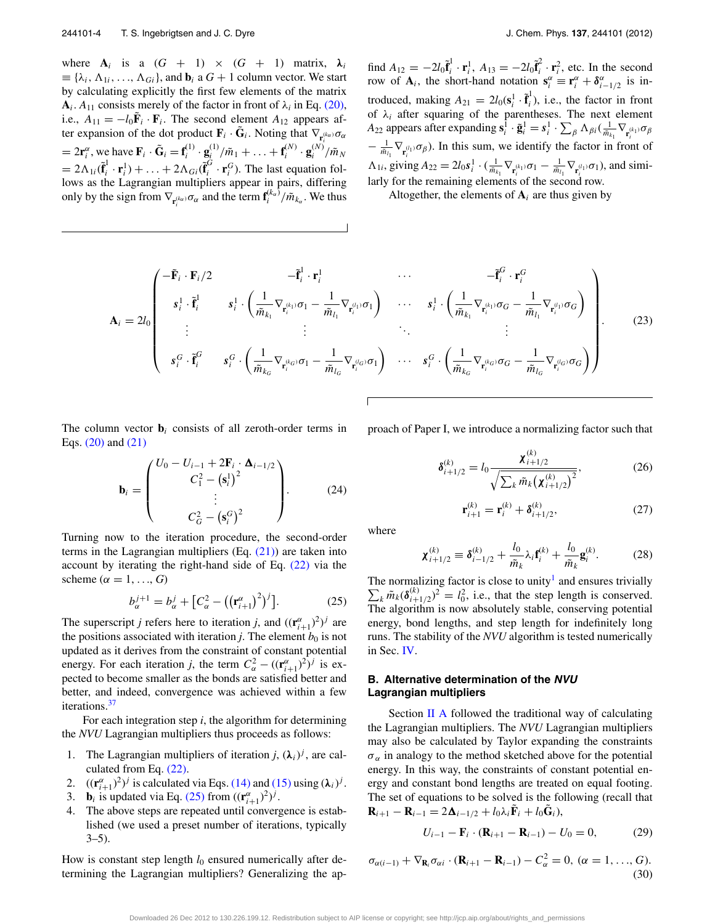where  $A_i$  is a  $(G + 1) \times (G + 1)$  matrix,  $\lambda_i$  $\equiv {\lambda_i, \Lambda_{1i}, \ldots, \Lambda_{Gi}}$ , and  $\mathbf{b}_i$  a  $G + 1$  column vector. We start by calculating explicitly the first few elements of the matrix  $A_i$ .  $A_{11}$  consists merely of the factor in front of  $\lambda_i$  in Eq. [\(20\),](#page-2-5) i.e.,  $A_{11} = -l_0 \mathbf{F}_i \cdot \mathbf{F}_i$ . The second element  $A_{12}$  appears after expansion of the dot product  $\mathbf{F}_i \cdot \tilde{\mathbf{G}}_i$ . Noting that  $\nabla_{\mathbf{r}_i^{(k_{\alpha})}} \sigma_{\alpha}$ =  $2\mathbf{r}_i^{\alpha}$ , we have  $\mathbf{F}_i \cdot \tilde{\mathbf{G}}_i = \mathbf{f}_i^{(1)} \cdot \mathbf{g}_i^{(1)}/\tilde{m}_1 + \ldots + \mathbf{f}_i^{(N)} \cdot \mathbf{g}_i^{(N)}/\tilde{m}_N$  $= 2\Lambda_{1i}(\tilde{\mathbf{f}}_i^1 \cdot \mathbf{r}_i^1) + \ldots + 2\Lambda_{Gi}(\tilde{\mathbf{f}}_i^G \cdot \mathbf{r}_i^G)$ . The last equation follows as the Lagrangian multipliers appear in pairs, differing only by the sign from  $\nabla_{\mathbf{r}_i^{(k_\alpha)}} \sigma_\alpha$  and the term  $\mathbf{f}_i^{(k_\alpha)} / \tilde{m}_{k_\alpha}$ . We thus

find  $A_{12} = -2l_0 \tilde{f}_i^1 \cdot \mathbf{r}_i^1$ ,  $A_{13} = -2l_0 \tilde{f}_i^2 \cdot \mathbf{r}_i^2$ , etc. In the second row of  $\mathbf{A}_i$ , the short-hand notation  $\mathbf{s}_i^{\alpha} \equiv \mathbf{r}_i^{\alpha} + \delta_{i-1/2}^{\alpha}$  is introduced, making  $A_{21} = 2l_0(\mathbf{s}_i^1 \cdot \tilde{\mathbf{f}}_i^1)$ , i.e., the factor in front of *λ<sup>i</sup>* after squaring of the parentheses. The next element *A*<sub>22</sub> appears after expanding  $\mathbf{s}_i^1 \cdot \tilde{\mathbf{g}}_i^1 = \mathbf{s}_i^1 \cdot \sum_{\beta} \Lambda_{\beta i} (\frac{1}{\tilde{m}_{k_1}} \nabla_{\mathbf{r}_i^{(k_1)}} \sigma_{\beta}$  $-\frac{1}{\tilde{m}_{l_1}}\nabla_{\mathbf{r}_i^{(l_1)}}\sigma_{\beta}$ ). In this sum, we identify the factor in front of  $\Lambda_{1i}$ , giving  $A_{22} = 2l_0 s_i^1 \cdot (\frac{1}{\tilde{m}_{k_1}} \nabla_{\mathbf{r}_i^{(k_1)}} \sigma_1 - \frac{1}{\tilde{m}_{l_1}} \nabla_{\mathbf{r}_i^{(l_1)}} \sigma_1)$ , and similarly for the remaining elements of the second row.

Altogether, the elements of  $A_i$  are thus given by

$$
\mathbf{A}_{i} = 2l_{0} \begin{pmatrix}\n-\tilde{\mathbf{F}}_{i} \cdot \mathbf{F}_{i}/2 & -\tilde{\mathbf{f}}_{i}^{1} \cdot \mathbf{r}_{i}^{1} & \cdots & -\tilde{\mathbf{f}}_{i}^{G} \cdot \mathbf{r}_{i}^{G} \\
s_{i}^{1} \cdot \tilde{\mathbf{f}}_{i}^{1} & s_{i}^{1} \cdot \left(\frac{1}{\tilde{m}_{k_{1}}} \nabla_{\mathbf{r}_{i}^{(k_{1})}} \sigma_{1} - \frac{1}{\tilde{m}_{l_{1}}} \nabla_{\mathbf{r}_{i}^{(l_{1})}} \sigma_{1}\right) & \cdots & s_{i}^{1} \cdot \left(\frac{1}{\tilde{m}_{k_{1}}} \nabla_{\mathbf{r}_{i}^{(k_{1})}} \sigma_{G} - \frac{1}{\tilde{m}_{l_{1}}} \nabla_{\mathbf{r}_{i}^{(l_{1})}} \sigma_{G}\right) \\
\vdots & \vdots & \ddots & \vdots \\
s_{i}^{G} \cdot \tilde{\mathbf{f}}_{i}^{G} & s_{i}^{G} \cdot \left(\frac{1}{\tilde{m}_{k_{G}}} \nabla_{\mathbf{r}_{i}^{(k_{G})}} \sigma_{1} - \frac{1}{\tilde{m}_{l_{G}}} \nabla_{\mathbf{r}_{i}^{(k_{G})}} \sigma_{1}\right) & \cdots & s_{i}^{G} \cdot \left(\frac{1}{\tilde{m}_{k_{G}}} \nabla_{\mathbf{r}_{i}^{(k_{G})}} \sigma_{G} - \frac{1}{\tilde{m}_{l_{G}}} \nabla_{\mathbf{r}_{i}^{(l_{G})}} \sigma_{G}\right)\n\end{pmatrix}.
$$
\n(23)

The column vector  $\mathbf{b}_i$  consists of all zeroth-order terms in Eqs. [\(20\)](#page-2-5) and [\(21\)](#page-2-6)

$$
\mathbf{b}_{i} = \begin{pmatrix} U_{0} - U_{i-1} + 2\mathbf{F}_{i} \cdot \mathbf{\Delta}_{i-1/2} \\ C_{1}^{2} - (\mathbf{s}_{i}^{1})^{2} \\ \vdots \\ C_{G}^{2} - (\mathbf{s}_{i}^{G})^{2} \end{pmatrix} .
$$
 (24)

Turning now to the iteration procedure, the second-order terms in the Lagrangian multipliers  $(Eq. (21))$  $(Eq. (21))$  are taken into account by iterating the right-hand side of Eq. [\(22\)](#page-2-7) via the scheme  $(\alpha = 1, \ldots, G)$ 

<span id="page-3-0"></span>
$$
b_{\alpha}^{j+1} = b_{\alpha}^{j} + \left[C_{\alpha}^{2} - \left(\left(\mathbf{r}_{i+1}^{\alpha}\right)^{2}\right)^{j}\right].
$$
 (25)

The superscript *j* refers here to iteration *j*, and  $((\mathbf{r}_{i+1}^{\alpha})^2)^j$  are the positions associated with iteration *j*. The element  $b_0$  is not updated as it derives from the constraint of constant potential energy. For each iteration *j*, the term  $C_{\alpha}^2 - ((\mathbf{r}_{i+1}^{\alpha})^2)^j$  is expected to become smaller as the bonds are satisfied better and better, and indeed, convergence was achieved within a few iterations.<sup>[37](#page-9-13)</sup>

For each integration step *i*, the algorithm for determining the *NVU* Lagrangian multipliers thus proceeds as follows:

- 1. The Lagrangian multipliers of iteration *j*,  $(\lambda_i)^j$ , are calculated from Eq. [\(22\).](#page-2-7)
- 2.  $((\mathbf{r}_{i+1}^{\alpha})^2)^j$  is calculated via Eqs. [\(14\)](#page-2-3) and [\(15\)](#page-2-4) using  $(\lambda_i)^j$ .
- 3. **b**<sub>*i*</sub> is updated via Eq. [\(25\)](#page-3-0) from  $((\mathbf{r}_{i+1}^{\alpha})^2)^j$ .
- 4. The above steps are repeated until convergence is established (we used a preset number of iterations, typically  $3-5$ ).

How is constant step length  $l_0$  ensured numerically after determining the Lagrangian multipliers? Generalizing the approach of Paper I, we introduce a normalizing factor such that

$$
\delta_{i+1/2}^{(k)} = l_0 \frac{\chi_{i+1/2}^{(k)}}{\sqrt{\sum_k \tilde{m}_k (\chi_{i+1/2}^{(k)})^2}},
$$
(26)

$$
\mathbf{r}_{i+1}^{(k)} = \mathbf{r}_i^{(k)} + \delta_{i+1/2}^{(k)},
$$
 (27)

where

$$
\chi_{i+1/2}^{(k)} \equiv \delta_{i-1/2}^{(k)} + \frac{l_0}{\tilde{m}_k} \lambda_i \mathbf{f}_i^{(k)} + \frac{l_0}{\tilde{m}_k} \mathbf{g}_i^{(k)}.
$$
 (28)

The normalizing factor is close to unity<sup>1</sup> and ensures trivially  $\sum_{k} \tilde{m}_{k}(\delta_{i+1/2}^{(k)})^2 = l_0^2$ , i.e., that the step length is conserved. The algorithm is now absolutely stable, conserving potential energy, bond lengths, and step length for indefinitely long runs. The stability of the *NVU* algorithm is tested numerically in Sec. [IV.](#page-5-0)

### <span id="page-3-3"></span>**B. Alternative determination of the NVU Lagrangian multipliers**

Section [II A](#page-2-8) followed the traditional way of calculating the Lagrangian multipliers. The *NVU* Lagrangian multipliers may also be calculated by Taylor expanding the constraints  $\sigma_{\alpha}$  in analogy to the method sketched above for the potential energy. In this way, the constraints of constant potential energy and constant bond lengths are treated on equal footing. The set of equations to be solved is the following (recall that  $\mathbf{R}_{i+1} - \mathbf{R}_{i-1} = 2\mathbf{\Delta}_{i-1/2} + l_0\lambda_i\tilde{\mathbf{F}}_i + l_0\tilde{\mathbf{G}}_i$ 

<span id="page-3-2"></span><span id="page-3-1"></span>
$$
U_{i-1} - \mathbf{F}_i \cdot (\mathbf{R}_{i+1} - \mathbf{R}_{i-1}) - U_0 = 0, \tag{29}
$$

$$
\sigma_{\alpha(i-1)} + \nabla_{\mathbf{R}_i} \sigma_{\alpha i} \cdot (\mathbf{R}_{i+1} - \mathbf{R}_{i-1}) - C_{\alpha}^2 = 0, \ (\alpha = 1, \ldots, G).
$$
\n(30)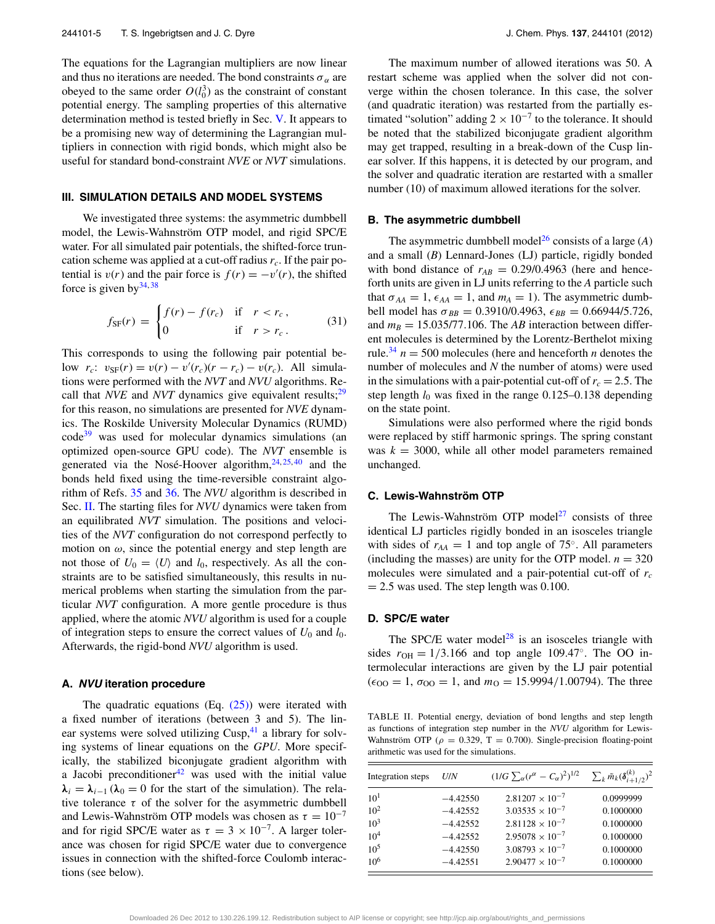The equations for the Lagrangian multipliers are now linear and thus no iterations are needed. The bond constraints  $\sigma_{\alpha}$  are obeyed to the same order  $O(l_0^3)$  as the constraint of constant potential energy. The sampling properties of this alternative determination method is tested briefly in Sec. [V.](#page-5-1) It appears to be a promising new way of determining the Lagrangian multipliers in connection with rigid bonds, which might also be useful for standard bond-constraint *NVE* or *NVT* simulations.

### <span id="page-4-0"></span>**III. SIMULATION DETAILS AND MODEL SYSTEMS**

We investigated three systems: the asymmetric dumbbell model, the Lewis-Wahnström OTP model, and rigid SPC/E water. For all simulated pair potentials, the shifted-force truncation scheme was applied at a cut-off radius  $r_c$ . If the pair potential is  $v(r)$  and the pair force is  $f(r) = -v'(r)$ , the shifted force is given by  $34,38$  $34,38$ 

$$
f_{\rm SF}(r) = \begin{cases} f(r) - f(r_c) & \text{if } r < r_c, \\ 0 & \text{if } r > r_c. \end{cases} \tag{31}
$$

This corresponds to using the following pair potential below  $r_c$ :  $v_{SF}(r) = v(r) - v'(r_c)(r - r_c) - v(r_c)$ . All simulations were performed with the *NVT* and *NVU* algorithms. Recall that *NVE* and *NVT* dynamics give equivalent results; $^{29}$  $^{29}$  $^{29}$ for this reason, no simulations are presented for *NVE* dynamics. The Roskilde University Molecular Dynamics (RUMD) code<sup>39</sup> was used for molecular dynamics simulations (an optimized open-source GPU code). The *NVT* ensemble is generated via the Nosé-Hoover algorithm,  $24, 25, 40$  $24, 25, 40$  $24, 25, 40$  $24, 25, 40$  $24, 25, 40$  and the bonds held fixed using the time-reversible constraint algorithm of Refs. [35](#page-9-11) and [36.](#page-9-12) The *NVU* algorithm is described in Sec. [II.](#page-1-0) The starting files for *NVU* dynamics were taken from an equilibrated *NVT* simulation. The positions and velocities of the *NVT* configuration do not correspond perfectly to motion on  $\omega$ , since the potential energy and step length are not those of  $U_0 = \langle U \rangle$  and  $l_0$ , respectively. As all the constraints are to be satisfied simultaneously, this results in numerical problems when starting the simulation from the particular *NVT* configuration. A more gentle procedure is thus applied, where the atomic *NVU* algorithm is used for a couple of integration steps to ensure the correct values of  $U_0$  and  $l_0$ . Afterwards, the rigid-bond *NVU* algorithm is used.

#### **A. NVU iteration procedure**

The quadratic equations  $(Eq. (25))$  $(Eq. (25))$  were iterated with a fixed number of iterations (between 3 and 5). The linear systems were solved utilizing  $Cusp$ ,<sup>[41](#page-9-17)</sup> a library for solving systems of linear equations on the *GPU*. More specifically, the stabilized biconjugate gradient algorithm with a Jacobi preconditioner $42$  was used with the initial value  $\lambda_i = \lambda_{i-1}$  ( $\lambda_0 = 0$  for the start of the simulation). The relative tolerance  $\tau$  of the solver for the asymmetric dumbbell and Lewis-Wahnström OTP models was chosen as  $\tau = 10^{-7}$ and for rigid SPC/E water as  $\tau = 3 \times 10^{-7}$ . A larger tolerance was chosen for rigid SPC/E water due to convergence issues in connection with the shifted-force Coulomb interactions (see below).

The maximum number of allowed iterations was 50. A restart scheme was applied when the solver did not converge within the chosen tolerance. In this case, the solver (and quadratic iteration) was restarted from the partially estimated "solution" adding  $2 \times 10^{-7}$  to the tolerance. It should be noted that the stabilized biconjugate gradient algorithm may get trapped, resulting in a break-down of the Cusp linear solver. If this happens, it is detected by our program, and the solver and quadratic iteration are restarted with a smaller number (10) of maximum allowed iterations for the solver.

#### **B. The asymmetric dumbbell**

The asymmetric dumbbell model<sup>26</sup> consists of a large  $(A)$ and a small (*B*) Lennard-Jones (LJ) particle, rigidly bonded with bond distance of  $r_{AB} = 0.29/0.4963$  (here and henceforth units are given in LJ units referring to the *A* particle such that  $\sigma_{AA} = 1$ ,  $\epsilon_{AA} = 1$ , and  $m_A = 1$ ). The asymmetric dumbbell model has  $\sigma_{BB} = 0.3910/0.4963$ ,  $\epsilon_{BB} = 0.66944/5.726$ , and  $m_B = 15.035/77.106$ . The *AB* interaction between different molecules is determined by the Lorentz-Berthelot mixing rule.<sup>[34](#page-9-10)</sup>  $n = 500$  molecules (here and henceforth *n* denotes the number of molecules and *N* the number of atoms) were used in the simulations with a pair-potential cut-off of  $r_c = 2.5$ . The step length  $l_0$  was fixed in the range  $0.125-0.138$  depending on the state point.

Simulations were also performed where the rigid bonds were replaced by stiff harmonic springs. The spring constant was  $k = 3000$ , while all other model parameters remained unchanged.

#### **C. Lewis-Wahnström OTP**

The Lewis-Wahnström OTP model<sup>27</sup> consists of three identical LJ particles rigidly bonded in an isosceles triangle with sides of  $r_{AA} = 1$  and top angle of 75°. All parameters (including the masses) are unity for the OTP model.  $n = 320$ molecules were simulated and a pair-potential cut-off of  $r_c$  $= 2.5$  was used. The step length was 0.100.

#### **D. SPC/E water**

The SPC/E water model<sup>28</sup> is an isosceles triangle with sides  $r_{OH} = 1/3.166$  and top angle 109.47°. The OO intermolecular interactions are given by the LJ pair potential  $(\epsilon_{00} = 1, \sigma_{00} = 1, \text{ and } m_0 = 15.9994/1.00794)$ . The three

<span id="page-4-1"></span>TABLE II. Potential energy, deviation of bond lengths and step length as functions of integration step number in the *NVU* algorithm for Lewis-Wahnström OTP ( $\rho = 0.329$ , T = 0.700). Single-precision floating-point arithmetic was used for the simulations.

| Integration steps | U/N        | $(1/G \sum_{\alpha} (r^{\alpha} - C_{\alpha})^2)^{1/2}$ | $\sum_{k} \tilde{m}_{k} (\delta_{i+1/2}^{(k)})^2$ |
|-------------------|------------|---------------------------------------------------------|---------------------------------------------------|
| 10 <sup>1</sup>   | $-4.42550$ | $2.81207 \times 10^{-7}$                                | 0.0999999                                         |
| 10 <sup>2</sup>   | $-4.42552$ | $3.03535 \times 10^{-7}$                                | 0.1000000                                         |
| 10 <sup>3</sup>   | $-4.42552$ | $2.81128 \times 10^{-7}$                                | 0.1000000                                         |
| 10 <sup>4</sup>   | $-4.42552$ | $2.95078 \times 10^{-7}$                                | 0.1000000                                         |
| $10^5$            | $-4.42550$ | $3.08793 \times 10^{-7}$                                | 0.1000000                                         |
| $10^{6}$          | $-4.42551$ | $2.90477 \times 10^{-7}$                                | 0.1000000                                         |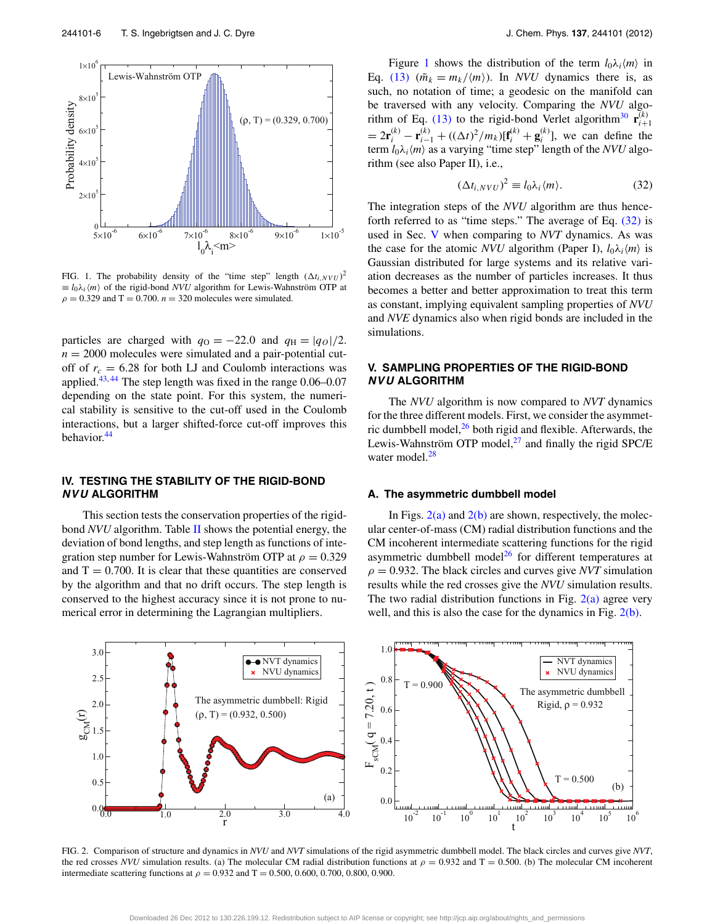<span id="page-5-2"></span>

FIG. 1. The probability density of the "time step" length  $(\Delta t_{i,NVU})^2$  $\equiv l_0 \lambda_i \langle m \rangle$  of the rigid-bond *NVU* algorithm for Lewis-Wahnström OTP at  $\rho = 0.329$  and  $T = 0.700$ .  $n = 320$  molecules were simulated.

particles are charged with  $q_{\text{O}} = -22.0$  and  $q_{\text{H}} = |q_{\text{O}}|/2$ .  $n = 2000$  molecules were simulated and a pair-potential cutoff of  $r_c = 6.28$  for both LJ and Coulomb interactions was applied. $43,44$  $43,44$  The step length was fixed in the range  $0.06-0.07$ depending on the state point. For this system, the numerical stability is sensitive to the cut-off used in the Coulomb interactions, but a larger shifted-force cut-off improves this behavior.<sup>[44](#page-9-20)</sup>

# <span id="page-5-0"></span>**IV. TESTING THE STABILITY OF THE RIGID-BOND NVU ALGORITHM**

This section tests the conservation properties of the rigidbond *NVU* algorithm. Table [II](#page-4-1) shows the potential energy, the deviation of bond lengths, and step length as functions of integration step number for Lewis-Wahnström OTP at *ρ* = 0.329 and  $T = 0.700$ . It is clear that these quantities are conserved by the algorithm and that no drift occurs. The step length is conserved to the highest accuracy since it is not prone to numerical error in determining the Lagrangian multipliers.

Figure [1](#page-5-2) shows the distribution of the term  $l_0\lambda_i\langle m\rangle$  in Eq. [\(13\)](#page-1-5)  $(\tilde{m}_k = m_k / \langle m \rangle)$ . In *NVU* dynamics there is, as such, no notation of time; a geodesic on the manifold can be traversed with any velocity. Comparing the *NVU* algo-rithm of Eq. [\(13\)](#page-1-5) to the rigid-bond Verlet algorithm<sup>30</sup>  $\mathbf{r}_{i+1}^{(k)}$  $= 2\mathbf{r}_i^{(k)} - \mathbf{r}_{i-1}^{(k)} + ((\Delta t)^2/m_k)[\mathbf{f}_i^{(k)} + \mathbf{g}_i^{(k)}]$ , we can define the term  $l_0\lambda_i/m$  as a varying "time step" length of the *NVU* algorithm (see also Paper II), i.e.,

<span id="page-5-3"></span>
$$
(\Delta t_{i,NVU})^2 \equiv l_0 \lambda_i \langle m \rangle. \tag{32}
$$

The integration steps of the *NVU* algorithm are thus henceforth referred to as "time steps." The average of Eq. [\(32\)](#page-5-3) is used in Sec. [V](#page-5-1) when comparing to *NVT* dynamics. As was the case for the atomic *NVU* algorithm (Paper I),  $l_0\lambda_i/m$  is Gaussian distributed for large systems and its relative variation decreases as the number of particles increases. It thus becomes a better and better approximation to treat this term as constant, implying equivalent sampling properties of *NVU* and *NVE* dynamics also when rigid bonds are included in the simulations.

# <span id="page-5-1"></span>**V. SAMPLING PROPERTIES OF THE RIGID-BOND NVU ALGORITHM**

The *NVU* algorithm is now compared to *NVT* dynamics for the three different models. First, we consider the asymmetric dumbbell model, $26$  both rigid and flexible. Afterwards, the Lewis-Wahnström OTP model, $27$  and finally the rigid SPC/E water model.<sup>[28](#page-9-4)</sup>

### **A. The asymmetric dumbbell model**

In Figs.  $2(a)$  and  $2(b)$  are shown, respectively, the molecular center-of-mass (CM) radial distribution functions and the CM incoherent intermediate scattering functions for the rigid asymmetric dumbbell model<sup>[26](#page-9-2)</sup> for different temperatures at  $\rho = 0.932$ . The black circles and curves give *NVT* simulation results while the red crosses give the *NVU* simulation results. The two radial distribution functions in Fig.  $2(a)$  agree very well, and this is also the case for the dynamics in Fig. [2\(b\).](#page-5-4)

<span id="page-5-4"></span>

FIG. 2. Comparison of structure and dynamics in *NVU* and *NVT* simulations of the rigid asymmetric dumbbell model. The black circles and curves give *NVT*, the red crosses *NVU* simulation results. (a) The molecular CM radial distribution functions at  $\rho = 0.932$  and T = 0.500. (b) The molecular CM incoherent intermediate scattering functions at  $\rho = 0.932$  and T = 0.500, 0.600, 0.700, 0.800, 0.900.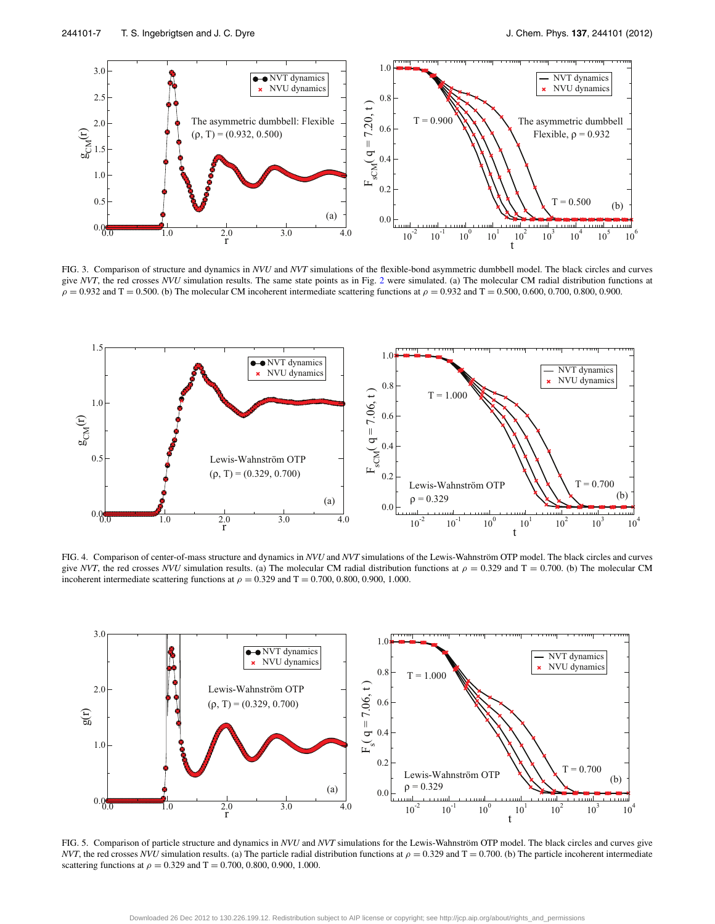<span id="page-6-0"></span>

FIG. 3. Comparison of structure and dynamics in *NVU* and *NVT* simulations of the flexible-bond asymmetric dumbbell model. The black circles and curves give *NVT*, the red crosses *NVU* simulation results. The same state points as in Fig. [2](#page-5-4) were simulated. (a) The molecular CM radial distribution functions at *ρ* = 0.932 and T = 0.500. (b) The molecular CM incoherent intermediate scattering functions at *ρ* = 0.932 and T = 0.500, 0.600, 0.700, 0.800, 0.900.

<span id="page-6-1"></span>

FIG. 4. Comparison of center-of-mass structure and dynamics in *NVU* and *NVT* simulations of the Lewis-Wahnström OTP model. The black circles and curves give *NVT*, the red crosses *NVU* simulation results. (a) The molecular CM radial distribution functions at  $\rho = 0.329$  and T = 0.700. (b) The molecular CM incoherent intermediate scattering functions at  $\rho = 0.329$  and T = 0.700, 0.800, 0.900, 1.000.

<span id="page-6-2"></span>

FIG. 5. Comparison of particle structure and dynamics in *NVU* and *NVT* simulations for the Lewis-Wahnström OTP model. The black circles and curves give *NVT*, the red crosses *NVU* simulation results. (a) The particle radial distribution functions at  $\rho = 0.329$  and T = 0.700. (b) The particle incoherent intermediate scattering functions at  $\rho = 0.329$  and T = 0.700, 0.800, 0.900, 1.000.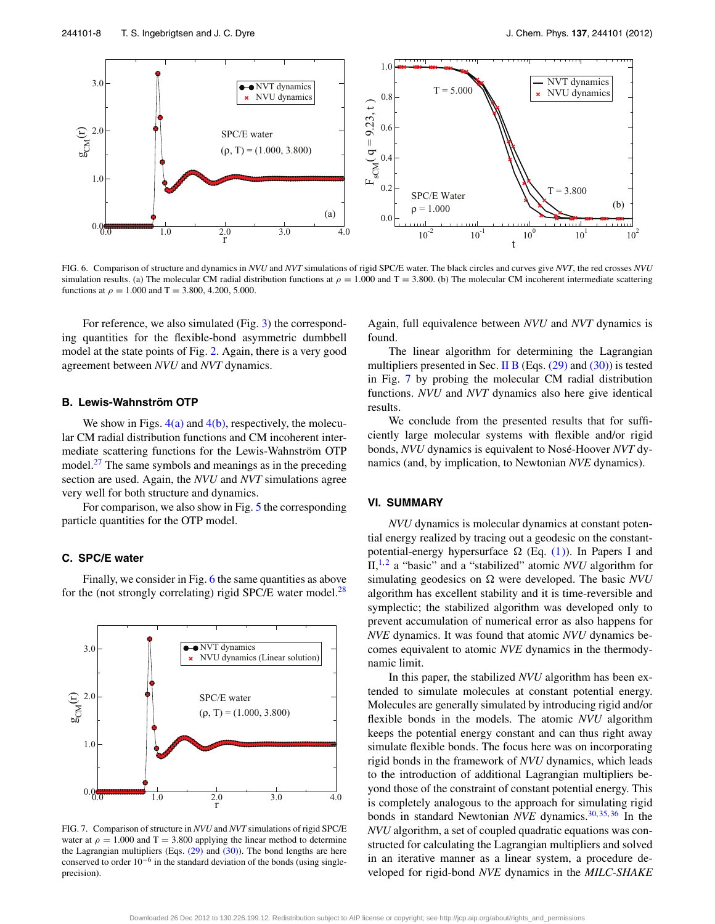<span id="page-7-1"></span>

FIG. 6. Comparison of structure and dynamics in *NVU* and *NVT* simulations of rigid SPC/E water. The black circles and curves give *NVT*, the red crosses *NVU* simulation results. (a) The molecular CM radial distribution functions at  $\rho = 1.000$  and  $T = 3.800$ . (b) The molecular CM incoherent intermediate scattering functions at  $\rho = 1.000$  and T = 3.800, 4.200, 5.000.

For reference, we also simulated (Fig. [3\)](#page-6-0) the corresponding quantities for the flexible-bond asymmetric dumbbell model at the state points of Fig. [2.](#page-5-4) Again, there is a very good agreement between *NVU* and *NVT* dynamics.

### **B. Lewis-Wahnström OTP**

We show in Figs.  $4(a)$  and  $4(b)$ , respectively, the molecular CM radial distribution functions and CM incoherent intermediate scattering functions for the Lewis-Wahnström OTP model.<sup>27</sup> The same symbols and meanings as in the preceding section are used. Again, the *NVU* and *NVT* simulations agree very well for both structure and dynamics.

For comparison, we also show in Fig. [5](#page-6-2) the corresponding particle quantities for the OTP model.

### **C. SPC/E water**

Finally, we consider in Fig. [6](#page-7-1) the same quantities as above for the (not strongly correlating) rigid SPC/E water model. $^{28}$ 

<span id="page-7-2"></span>

FIG. 7. Comparison of structure in *NVU* and *NVT* simulations of rigid SPC/E water at  $\rho = 1.000$  and T = 3.800 applying the linear method to determine the Lagrangian multipliers (Eqs.  $(29)$  and  $(30)$ ). The bond lengths are here conserved to order  $10^{-6}$  in the standard deviation of the bonds (using singleprecision).

Again, full equivalence between *NVU* and *NVT* dynamics is found.

The linear algorithm for determining the Lagrangian multipliers presented in Sec. [II B](#page-3-3) (Eqs.  $(29)$  and  $(30)$ ) is tested in Fig. [7](#page-7-2) by probing the molecular CM radial distribution functions. *NVU* and *NVT* dynamics also here give identical results.

We conclude from the presented results that for sufficiently large molecular systems with flexible and/or rigid bonds, *NVU* dynamics is equivalent to Nosé-Hoover *NVT* dynamics (and, by implication, to Newtonian *NVE* dynamics).

#### <span id="page-7-0"></span>**VI. SUMMARY**

*NVU* dynamics is molecular dynamics at constant potential energy realized by tracing out a geodesic on the constantpotential-energy hypersurface  $\Omega$  (Eq. [\(1\)\)](#page-0-2). In Papers I and II,<sup>[1,](#page-8-0)[2](#page-8-1)</sup> a "basic" and a "stabilized" atomic *NVU* algorithm for simulating geodesics on  $\Omega$  were developed. The basic *NVU* algorithm has excellent stability and it is time-reversible and symplectic; the stabilized algorithm was developed only to prevent accumulation of numerical error as also happens for *NVE* dynamics. It was found that atomic *NVU* dynamics becomes equivalent to atomic *NVE* dynamics in the thermodynamic limit.

In this paper, the stabilized *NVU* algorithm has been extended to simulate molecules at constant potential energy. Molecules are generally simulated by introducing rigid and/or flexible bonds in the models. The atomic *NVU* algorithm keeps the potential energy constant and can thus right away simulate flexible bonds. The focus here was on incorporating rigid bonds in the framework of *NVU* dynamics, which leads to the introduction of additional Lagrangian multipliers beyond those of the constraint of constant potential energy. This is completely analogous to the approach for simulating rigid bonds in standard Newtonian *NVE* dynamics.<sup>30,[35,](#page-9-11)[36](#page-9-12)</sup> In the *NVU* algorithm, a set of coupled quadratic equations was constructed for calculating the Lagrangian multipliers and solved in an iterative manner as a linear system, a procedure developed for rigid-bond *NVE* dynamics in the *MILC-SHAKE*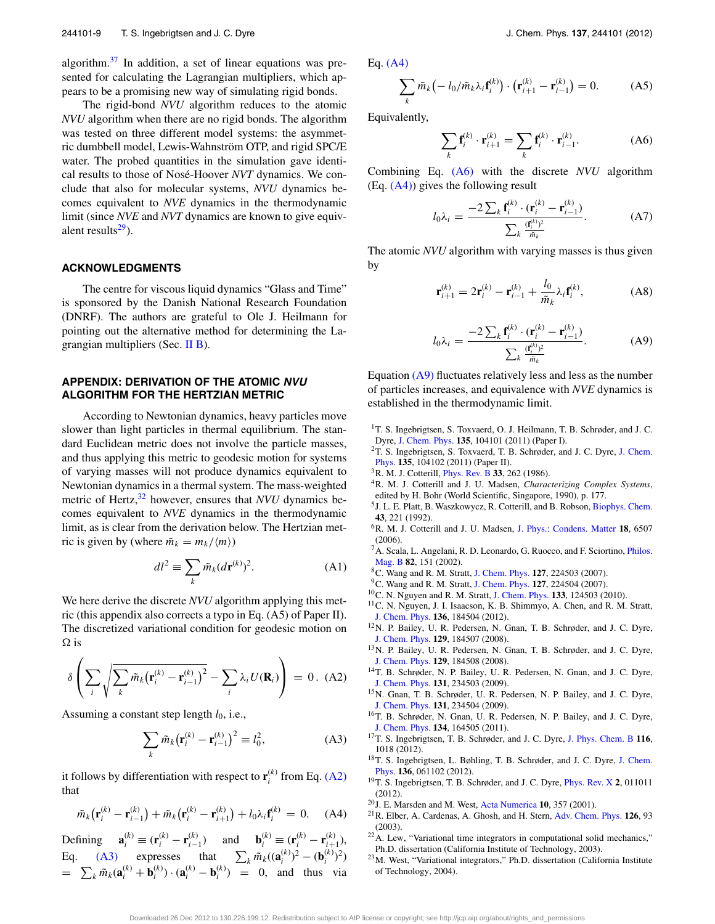algorithm.[37](#page-9-13) In addition, a set of linear equations was presented for calculating the Lagrangian multipliers, which appears to be a promising new way of simulating rigid bonds.

The rigid-bond *NVU* algorithm reduces to the atomic *NVU* algorithm when there are no rigid bonds. The algorithm was tested on three different model systems: the asymmetric dumbbell model, Lewis-Wahnström OTP, and rigid SPC/E water. The probed quantities in the simulation gave identical results to those of Nosé-Hoover *NVT* dynamics. We conclude that also for molecular systems, *NVU* dynamics becomes equivalent to *NVE* dynamics in the thermodynamic limit (since *NVE* and *NVT* dynamics are known to give equivalent results $29$ ).

### **ACKNOWLEDGMENTS**

The centre for viscous liquid dynamics "Glass and Time" is sponsored by the Danish National Research Foundation (DNRF). The authors are grateful to Ole J. Heilmann for pointing out the alternative method for determining the Lagrangian multipliers (Sec.  $\overline{II}$  B).

# **APPENDIX: DERIVATION OF THE ATOMIC NVU ALGORITHM FOR THE HERTZIAN METRIC**

According to Newtonian dynamics, heavy particles move slower than light particles in thermal equilibrium. The standard Euclidean metric does not involve the particle masses, and thus applying this metric to geodesic motion for systems of varying masses will not produce dynamics equivalent to Newtonian dynamics in a thermal system. The mass-weighted metric of Hertz, $32$  however, ensures that *NVU* dynamics becomes equivalent to *NVE* dynamics in the thermodynamic limit, as is clear from the derivation below. The Hertzian metric is given by (where  $\tilde{m}_k = m_k / \langle m \rangle$ )

$$
dl^2 \equiv \sum_k \tilde{m}_k (d\mathbf{r}^{(k)})^2.
$$
 (A1)

We here derive the discrete *NVU* algorithm applying this metric (this appendix also corrects a typo in Eq. (A5) of Paper II). The discretized variational condition for geodesic motion on *-* is

<span id="page-8-11"></span>
$$
\delta \left( \sum_{i} \sqrt{\sum_{k} \widetilde{m}_{k} (\mathbf{r}_{i}^{(k)} - \mathbf{r}_{i-1}^{(k)})^2} - \sum_{i} \lambda_{i} U(\mathbf{R}_{i}) \right) = 0. \text{ (A2)}
$$

Assuming a constant step length *l*0, i.e.,

<span id="page-8-12"></span>
$$
\sum_{k} \tilde{m}_{k} (\mathbf{r}_{i}^{(k)} - \mathbf{r}_{i-1}^{(k)})^{2} \equiv l_{0}^{2},
$$
 (A3)

it follows by differentiation with respect to  $\mathbf{r}_i^{(k)}$  from Eq. [\(A2\)](#page-8-11) that

<span id="page-8-13"></span>
$$
\tilde{m}_k(\mathbf{r}_i^{(k)} - \mathbf{r}_{i-1}^{(k)}) + \tilde{m}_k(\mathbf{r}_i^{(k)} - \mathbf{r}_{i+1}^{(k)}) + l_0 \lambda_i \mathbf{f}_i^{(k)} = 0. \quad (A4)
$$

Defining  $\mathbf{a}_i^{(k)} \equiv (\mathbf{r}_i^{(k)} - \mathbf{r}_{i-1}^{(k)})$  and  $\mathbf{b}_i^{(k)} \equiv (\mathbf{r}_i^{(k)} - \mathbf{r}_{i+1}^{(k)}),$ Eq. [\(A3\)](#page-8-12) expresses that  $\sum_k \tilde{m}_k((\mathbf{a}_i^{(k)})^2 - (\mathbf{b}_i^{(k)})^2)$  $= \sum_{k} \tilde{m}_{k}(\mathbf{a}_{i}^{(k)} + \mathbf{b}_{i}^{(k)}) \cdot (\mathbf{a}_{i}^{(k)} - \mathbf{b}_{i}^{(k)}) = 0$ , and thus via Eq. [\(A4\)](#page-8-13)

$$
\sum_{k} \widetilde{m}_{k} \left( -l_{0} / \widetilde{m}_{k} \lambda_{i} \mathbf{f}_{i}^{(k)} \right) \cdot \left( \mathbf{r}_{i+1}^{(k)} - \mathbf{r}_{i-1}^{(k)} \right) = 0. \tag{A5}
$$

Equivalently,

<span id="page-8-14"></span>
$$
\sum_{k} \mathbf{f}_{i}^{(k)} \cdot \mathbf{r}_{i+1}^{(k)} = \sum_{k} \mathbf{f}_{i}^{(k)} \cdot \mathbf{r}_{i-1}^{(k)}.\tag{A6}
$$

Combining Eq. [\(A6\)](#page-8-14) with the discrete *NVU* algorithm (Eq. [\(A4\)\)](#page-8-13) gives the following result

$$
l_0 \lambda_i = \frac{-2 \sum_k \mathbf{f}_i^{(k)} \cdot (\mathbf{r}_i^{(k)} - \mathbf{r}_{i-1}^{(k)})}{\sum_k \frac{(\mathbf{f}_i^{(k)})^2}{\tilde{m}_k}}.
$$
 (A7)

The atomic *NVU* algorithm with varying masses is thus given by

$$
\mathbf{r}_{i+1}^{(k)} = 2\mathbf{r}_i^{(k)} - \mathbf{r}_{i-1}^{(k)} + \frac{l_0}{\tilde{m}_k} \lambda_i \mathbf{f}_i^{(k)},
$$
 (A8)

<span id="page-8-15"></span>
$$
l_0 \lambda_i = \frac{-2 \sum_k \mathbf{f}_i^{(k)} \cdot (\mathbf{r}_i^{(k)} - \mathbf{r}_{i-1}^{(k)})}{\sum_k \frac{(\mathbf{f}_i^{(k)})^2}{\tilde{m}_k}}.
$$
 (A9)

Equation [\(A9\)](#page-8-15) fluctuates relatively less and less as the number of particles increases, and equivalence with *NVE* dynamics is established in the thermodynamic limit.

- <span id="page-8-0"></span><sup>1</sup>T. S. Ingebrigtsen, S. Toxvaerd, O. J. Heilmann, T. B. Schrøder, and J. C. Dyre, [J. Chem. Phys.](http://dx.doi.org/10.1063/1.3623585) **135**, 104101 (2011) (Paper I).
- <span id="page-8-1"></span><sup>2</sup>T. S. Ingebrigtsen, S. Toxvaerd, T. B. Schrøder, and J. C. Dyre, [J. Chem.](http://dx.doi.org/10.1063/1.3623586) [Phys.](http://dx.doi.org/10.1063/1.3623586) **135**, 104102 (2011) (Paper II).

<span id="page-8-2"></span>3R. M. J. Cotterill, [Phys. Rev. B](http://dx.doi.org/10.1103/PhysRevB.33.262) **33**, 262 (1986).

- 4R. M. J. Cotterill and J. U. Madsen, *Characterizing Complex Systems*, edited by H. Bohr (World Scientific, Singapore, 1990), p. 177.
- 5J. L. E. Platt, B. Waszkowycz, R. Cotterill, and B. Robson, [Biophys. Chem.](http://dx.doi.org/10.1016/0301-4622(92)85023-W) **43**, 221 (1992).
- <span id="page-8-3"></span>6R. M. J. Cotterill and J. U. Madsen, [J. Phys.: Condens. Matter](http://dx.doi.org/10.1088/0953-8984/18/28/006) **18**, 6507 (2006).
- <span id="page-8-4"></span><sup>7</sup>A. Scala, L. Angelani, R. D. Leonardo, G. Ruocco, and F. Sciortino, *Philos*. [Mag. B](http://dx.doi.org/10.1080/13642810110085181) **82**, 151 (2002).
- <span id="page-8-5"></span>8C. Wang and R. M. Stratt, [J. Chem. Phys.](http://dx.doi.org/10.1063/1.2801994) **127**, 224503 (2007).
- 9C. Wang and R. M. Stratt, [J. Chem. Phys.](http://dx.doi.org/10.1063/1.2801995) **127**, 224504 (2007).
- <span id="page-8-6"></span>10C. N. Nguyen and R. M. Stratt, [J. Chem. Phys.](http://dx.doi.org/10.1063/1.3481655) **133**, 124503 (2010).
- 11C. N. Nguyen, J. I. Isaacson, K. B. Shimmyo, A. Chen, and R. M. Stratt, [J. Chem. Phys.](http://dx.doi.org/10.1063/1.4717460) **136**, 184504 (2012).
- <span id="page-8-7"></span><sup>12</sup>N. P. Bailey, U. R. Pedersen, N. Gnan, T. B. Schrøder, and J. C. Dyre, [J. Chem. Phys.](http://dx.doi.org/10.1063/1.2982247) **129**, 184507 (2008).
- 13N. P. Bailey, U. R. Pedersen, N. Gnan, T. B. Schrøder, and J. C. Dyre, [J. Chem. Phys.](http://dx.doi.org/10.1063/1.2982249) **129**, 184508 (2008).
- 14T. B. Schrøder, N. P. Bailey, U. R. Pedersen, N. Gnan, and J. C. Dyre, [J. Chem. Phys.](http://dx.doi.org/10.1063/1.3265955) **131**, 234503 (2009).
- 15N. Gnan, T. B. Schrøder, U. R. Pedersen, N. P. Bailey, and J. C. Dyre, [J. Chem. Phys.](http://dx.doi.org/10.1063/1.3265957) **131**, 234504 (2009).
- 16T. B. Schrøder, N. Gnan, U. R. Pedersen, N. P. Bailey, and J. C. Dyre, [J. Chem. Phys.](http://dx.doi.org/10.1063/1.3582900) **134**, 164505 (2011).
- 17T. S. Ingebrigtsen, T. B. Schrøder, and J. C. Dyre, [J. Phys. Chem. B](http://dx.doi.org/10.1021/jp2077402) **116**, 1018 (2012).
- <sup>18</sup>T. S. Ingebrigtsen, L. Bøhling, T. B. Schrøder, and J. C. Dyre, [J. Chem.](http://dx.doi.org/10.1063/1.3685804) [Phys.](http://dx.doi.org/10.1063/1.3685804) **136**, 061102 (2012).
- <span id="page-8-8"></span>19T. S. Ingebrigtsen, T. B. Schrøder, and J. C. Dyre, [Phys. Rev. X](http://dx.doi.org/10.1103/PhysRevX.2.011011) **2**, 011011 (2012).
- <span id="page-8-9"></span>20J. E. Marsden and M. West, [Acta Numerica](http://dx.doi.org/10.1017/S096249290100006X) **10**, 357 (2001).
- 21R. Elber, A. Cardenas, A. Ghosh, and H. Stern, [Adv. Chem. Phys.](http://dx.doi.org/10.1002/0471428019.ch3) **126**, 93 (2003).
- $22A$ . Lew, "Variational time integrators in computational solid mechanics," Ph.D. dissertation (California Institute of Technology, 2003).
- <span id="page-8-10"></span>23M. West, "Variational integrators," Ph.D. dissertation (California Institute of Technology, 2004).